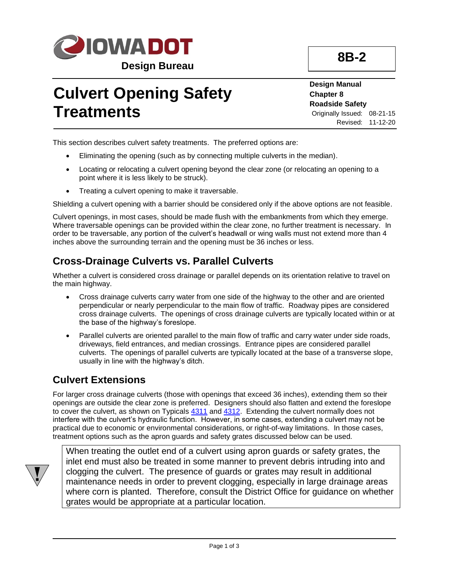

# **Culvert Opening Safety Treatments**

**Design Manual Chapter 8 Roadside Safety** Originally Issued: 08-21-15 Revised: 11-12-20

This section describes culvert safety treatments. The preferred options are:

- Eliminating the opening (such as by connecting multiple culverts in the median).
- Locating or relocating a culvert opening beyond the clear zone (or relocating an opening to a point where it is less likely to be struck).
- Treating a culvert opening to make it traversable.

Shielding a culvert opening with a barrier should be considered only if the above options are not feasible.

Culvert openings, in most cases, should be made flush with the embankments from which they emerge. Where traversable openings can be provided within the clear zone, no further treatment is necessary. In order to be traversable, any portion of the culvert's headwall or wing walls must not extend more than 4 inches above the surrounding terrain and the opening must be 36 inches or less.

## **Cross-Drainage Culverts vs. Parallel Culverts**

Whether a culvert is considered cross drainage or parallel depends on its orientation relative to travel on the main highway.

- Cross drainage culverts carry water from one side of the highway to the other and are oriented perpendicular or nearly perpendicular to the main flow of traffic. Roadway pipes are considered cross drainage culverts. The openings of cross drainage culverts are typically located within or at the base of the highway's foreslope.
- Parallel culverts are oriented parallel to the main flow of traffic and carry water under side roads, driveways, field entrances, and median crossings. Entrance pipes are considered parallel culverts. The openings of parallel culverts are typically located at the base of a transverse slope, usually in line with the highway's ditch.

## **Culvert Extensions**

For larger cross drainage culverts (those with openings that exceed 36 inches), extending them so their openings are outside the clear zone is preferred. Designers should also flatten and extend the foreslope to cover the culvert, as shown on Typicals  $4311$  and  $4312$ . Extending the culvert normally does not interfere with the culvert's hydraulic function. However, in some cases, extending a culvert may not be practical due to economic or environmental considerations, or right-of-way limitations. In those cases, treatment options such as the apron guards and safety grates discussed below can be used.



When treating the outlet end of a culvert using apron guards or safety grates, the inlet end must also be treated in some manner to prevent debris intruding into and clogging the culvert. The presence of guards or grates may result in additional maintenance needs in order to prevent clogging, especially in large drainage areas where corn is planted. Therefore, consult the District Office for guidance on whether grates would be appropriate at a particular location.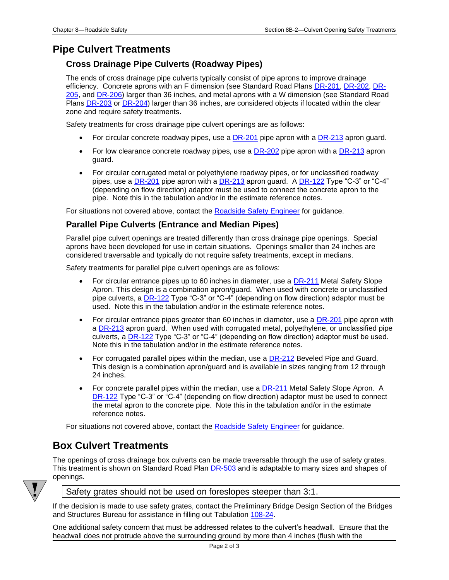## **Pipe Culvert Treatments**

#### **Cross Drainage Pipe Culverts (Roadway Pipes)**

The ends of cross drainage pipe culverts typically consist of pipe aprons to improve drainage efficiency. Concrete aprons with an F dimension (see Standard Road Plans [DR-201,](../SRP/IndividualStandards/dr201.pdf) [DR-202,](../SRP/IndividualStandards/dr202.pdf) [DR-](../SRP/IndividualStandards/dr205.pdf)[205,](../SRP/IndividualStandards/dr205.pdf) an[d DR-206\)](../SRP/IndividualStandards/dr206.pdf) larger than 36 inches, and metal aprons with a W dimension (see Standard Road Plans [DR-203](../SRP/IndividualStandards/dr203.pdf) o[r DR-204\)](../SRP/IndividualStandards/dr201.pdf) larger than 36 inches, are considered objects if located within the clear zone and require safety treatments.

Safety treatments for cross drainage pipe culvert openings are as follows:

- For circular concrete roadway pipes, use a [DR-201](../SRP/IndividualStandards/dr201.pdf) pipe apron with a [DR-213](../SRP/IndividualStandards/dr213.pdf) apron quard.
- For low clearance concrete roadway pipes, use a  $DR-202$  pipe apron with a  $DR-213$  apron guard.
- For circular corrugated metal or polyethylene roadway pipes, or for unclassified roadway pipes, use a  $DR-201$  pipe apron with a  $DR-213$  apron guard. A  $DR-122$  Type "C-3" or "C-4" (depending on flow direction) adaptor must be used to connect the concrete apron to the pipe. Note this in the tabulation and/or in the estimate reference notes.

For situations not covered above, contact the [Roadside Safety Engineer](01B-02/RoadSideSafetyEngineer.pdf) for guidance.

#### **Parallel Pipe Culverts (Entrance and Median Pipes)**

Parallel pipe culvert openings are treated differently than cross drainage pipe openings. Special aprons have been developed for use in certain situations. Openings smaller than 24 inches are considered traversable and typically do not require safety treatments, except in medians.

Safety treatments for parallel pipe culvert openings are as follows:

- For circular entrance pipes up to 60 inches in diameter, use a **DR-211** Metal Safety Slope Apron. This design is a combination apron/guard. When used with concrete or unclassified pipe culverts, a  $DR-122$  Type "C-3" or "C-4" (depending on flow direction) adaptor must be used. Note this in the tabulation and/or in the estimate reference notes.
- For circular entrance pipes greater than 60 inches in diameter, use a  $DR-201$  pipe apron with a [DR-213](../SRP/IndividualStandards/dr213.pdf) apron guard. When used with corrugated metal, polyethylene, or unclassified pipe culverts, a [DR-122](../SRP/IndividualStandards/dr122.pdf) Type "C-3" or "C-4" (depending on flow direction) adaptor must be used. Note this in the tabulation and/or in the estimate reference notes.
- For corrugated parallel pipes within the median, use a **[DR-212](../SRP/IndividualStandards/dr212.pdf)** Beveled Pipe and Guard. This design is a combination apron/guard and is available in sizes ranging from 12 through 24 inches.
- For concrete parallel pipes within the median, use a [DR-211](../SRP/IndividualStandards/dr211.pdf) Metal Safety Slope Apron. A [DR-122](../SRP/IndividualStandards/dr122.pdf) Type "C-3" or "C-4" (depending on flow direction) adaptor must be used to connect the metal apron to the concrete pipe. Note this in the tabulation and/or in the estimate reference notes.

For situations not covered above, contact the [Roadside Safety Engineer](01B-02/RoadSideSafetyEngineer.pdf) for quidance.

### **Box Culvert Treatments**

The openings of cross drainage box culverts can be made traversable through the use of safety grates. This treatment is shown on Standard Road Plan [DR-503](../SRP/IndividualStandards/dr503.pdf) and is adaptable to many sizes and shapes of openings.



#### Safety grates should not be used on foreslopes steeper than 3:1.

If the decision is made to use safety grates, contact the Preliminary Bridge Design Section of the Bridges and Structures Bureau for assistance in filling out Tabulation [108-24.](../tnt/PDFsandWebFiles/IndividualPDFs/0108-24.PDF)

One additional safety concern that must be addressed relates to the culvert's headwall. Ensure that the headwall does not protrude above the surrounding ground by more than 4 inches (flush with the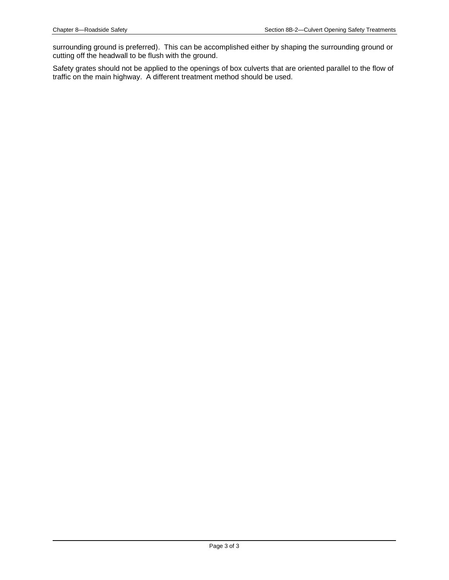surrounding ground is preferred). This can be accomplished either by shaping the surrounding ground or cutting off the headwall to be flush with the ground.

Safety grates should not be applied to the openings of box culverts that are oriented parallel to the flow of traffic on the main highway. A different treatment method should be used.